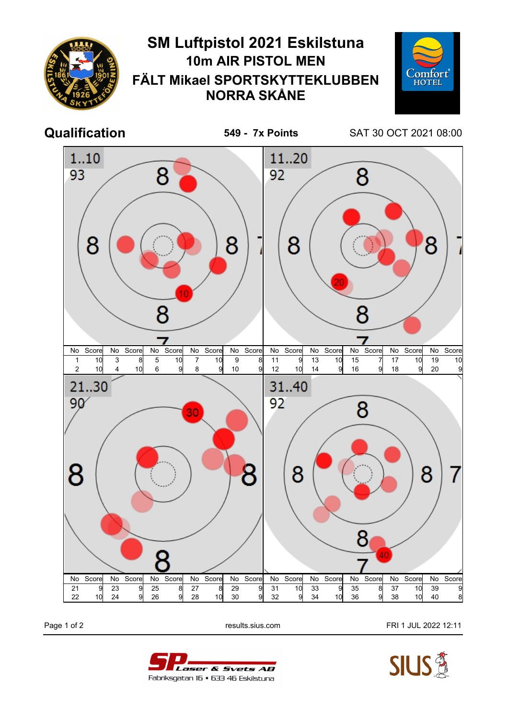

Page 1 of 2 **Page 1 of 2** results.sius.com **FRI 1 JUL 2022 12:11**